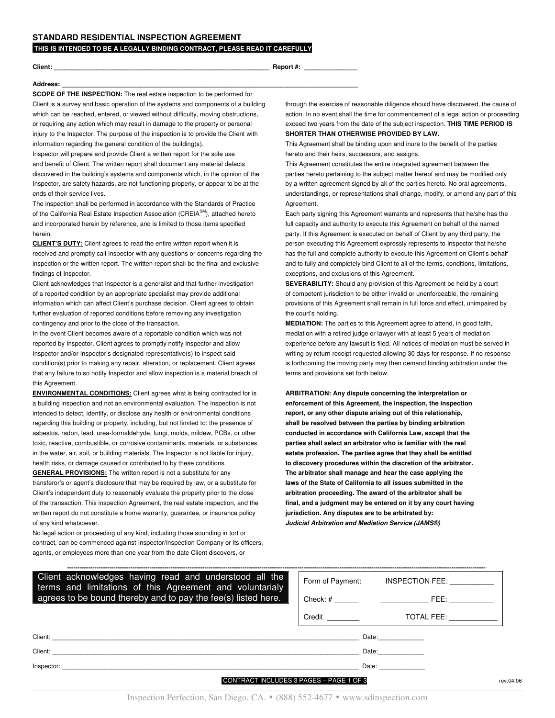**THIS IS INTENDED TO BE A LEGALLY BINDING CONTRACT, PLEASE READ IT CAREFULLY**

**Client: \_\_\_\_\_\_\_\_\_\_\_\_\_\_\_\_\_\_\_\_\_\_\_\_\_\_\_\_\_\_\_\_\_\_\_\_\_\_\_\_\_\_\_\_\_\_\_\_\_\_\_\_\_\_\_\_\_\_\_\_\_ Report #: \_\_\_\_\_\_\_\_\_\_\_\_\_\_\_**

## **Address: \_\_\_\_\_\_\_\_\_\_\_\_\_\_\_\_\_\_\_\_\_\_\_\_\_\_\_\_\_\_\_\_\_\_\_\_\_\_\_\_\_\_\_\_\_\_\_\_\_\_\_\_\_\_\_\_\_\_\_\_\_\_\_\_\_\_\_\_\_\_\_\_\_\_\_\_\_\_\_\_\_\_\_\_**

**SCOPE OF THE INSPECTION:** The real estate inspection to be performed for Client is a survey and basic operation of the systems and components of a building which can be reached, entered, or viewed without difficulty, moving obstructions, or requiring any action which may result in damage to the property or personal injury to the Inspector. The purpose of the inspection is to provide the Client with information regarding the general condition of the building(s).

Inspector will prepare and provide Client a written report for the sole use and benefit of Client. The written report shall document any material defects discovered in the building's systems and components which, in the opinion of the Inspector, are safety hazards, are not functioning properly, or appear to be at the ends of their service lives.

The inspection shall be performed in accordance with the Standards of Practice of the California Real Estate Inspection Association (CREIA<sup>SM</sup>), attached hereto and incorporated herein by reference, and is limited to those items specified herein.

**CLIENT'S DUTY:** Client agrees to read the entire written report when it is received and promptly call Inspector with any questions or concerns regarding the inspection or the written report. The written report shall be the final and exclusive findings of Inspector.

Client acknowledges that Inspector is a generalist and that further investigation of a reported condition by an appropriate specialist may provide additional information which can affect Client's purchase decision. Client agrees to obtain further evaluation of reported conditions before removing any investigation contingency and prior to the close of the transaction.

In the event Client becomes aware of a reportable condition which was not reported by Inspector, Client agrees to promptly notify Inspector and allow Inspector and/or Inspector's designated representative(s) to inspect said condition(s) prior to making any repair, alteration, or replacement. Client agrees that any failure to so notify Inspector and allow inspection is a material breach of this Agreement.

**ENVIRONMENTAL CONDITIONS:** Client agrees what is being contracted for is a building inspection and not an environmental evaluation. The inspection is not intended to detect, identify, or disclose any health or environmental conditions regarding this building or property, including, but not limited to: the presence of asbestos, radon, lead, urea-formaldehyde, fungi, molds, mildew, PCBs, or other toxic, reactive, combustible, or corrosive contaminants, materials, or substances in the water, air, soil, or building materials. The Inspector is not liable for injury, health risks, or damage caused or contributed to by these conditions.

**GENERAL PROVISIONS:** The written report is not a substitute for any transferor's or agent's disclosure that may be required by law, or a substitute for Client's independent duty to reasonably evaluate the property prior to the close of the transaction. This inspection Agreement, the real estate inspection, and the written report do not constitute a home warranty, guarantee, or insurance policy of any kind whatsoever.

No legal action or proceeding of any kind, including those sounding in tort or contract, can be commenced against Inspector/Inspection Company or its officers, agents, or employees more than one year from the date Client discovers, or

through the exercise of reasonable diligence should have discovered, the cause of action. In no event shall the time for commencement of a legal action or proceeding exceed two years from the date of the subject inspection. **THIS TIME PERIOD IS SHORTER THAN OTHERWISE PROVIDED BY LAW.**

This Agreement shall be binding upon and inure to the benefit of the parties hereto and their heirs, successors, and assigns.

This Agreement constitutes the entire integrated agreement between the parties hereto pertaining to the subject matter hereof and may be modified only by a written agreement signed by all of the parties hereto. No oral agreements, understandings, or representations shall change, modify, or amend any part of this Agreement.

Each party signing this Agreement warrants and represents that he/she has the full capacity and authority to execute this Agreement on behalf of the named party. If this Agreement is executed on behalf of Client by any third party, the person executing this Agreement expressly represents to Inspector that he/she has the full and complete authority to execute this Agreement on Client's behalf and to fully and completely bind Client to all of the terms, conditions, limitations, exceptions, and exclusions of this Agreement.

**SEVERABILITY:** Should any provision of this Agreement be held by a court of competent jurisdiction to be either invalid or unenforceable, the remaining provisions of this Agreement shall remain in full force and effect, unimpaired by the court's holding.

**MEDIATION:** The parties to this Agreement agree to attend, in good faith, mediation with a retired judge or lawyer with at least 5 years of mediation experience before any lawsuit is filed. All notices of mediation must be served in writing by return receipt requested allowing 30 days for response. If no response is forthcoming the moving party may then demand binding arbitration under the terms and provisions set forth below.

**ARBITRATION: Any dispute concerning the interpretation or enforcement of this Agreement, the inspection, the inspection report, or any other dispute arising out of this relationship, shall be resolved between the parties by binding arbitration conducted in accordance with California Law, except that the parties shall select an arbitrator who is familiar with the real estate profession. The parties agree that they shall be entitled to discovery procedures within the discretion of the arbitrator. The arbitrator shall manage and hear the case applying the laws of the State of California to all issues submitted in the arbitration proceeding. The award of the arbitrator shall be final, and a judgment may be entered on it by any court having jurisdiction. Any disputes are to be arbitrated by:** *Judicial Arbitration and Mediation Service (JAMS®)*

| Client acknowledges having read and understood all the<br>terms and limitations of this Agreement and voluntarialy<br>agrees to be bound thereby and to pay the fee(s) listed here. |                      | Form of Payment: INSPECTION FEE:                                                                                                                                                                                               |           |
|-------------------------------------------------------------------------------------------------------------------------------------------------------------------------------------|----------------------|--------------------------------------------------------------------------------------------------------------------------------------------------------------------------------------------------------------------------------|-----------|
|                                                                                                                                                                                     |                      |                                                                                                                                                                                                                                |           |
|                                                                                                                                                                                     | Credit <u>Credit</u> | TOTAL FEE: Network                                                                                                                                                                                                             |           |
|                                                                                                                                                                                     |                      | Date: and the state of the state of the state of the state of the state of the state of the state of the state of the state of the state of the state of the state of the state of the state of the state of the state of the  |           |
|                                                                                                                                                                                     |                      | Date: and the state of the state of the state of the state of the state of the state of the state of the state                                                                                                                 |           |
|                                                                                                                                                                                     |                      | Date: the contract of the contract of the contract of the contract of the contract of the contract of the contract of the contract of the contract of the contract of the contract of the contract of the contract of the cont |           |
| CONTRACT INCLUDES 3 PAGES - PAGE 1 OF 3                                                                                                                                             |                      |                                                                                                                                                                                                                                | rev:04.06 |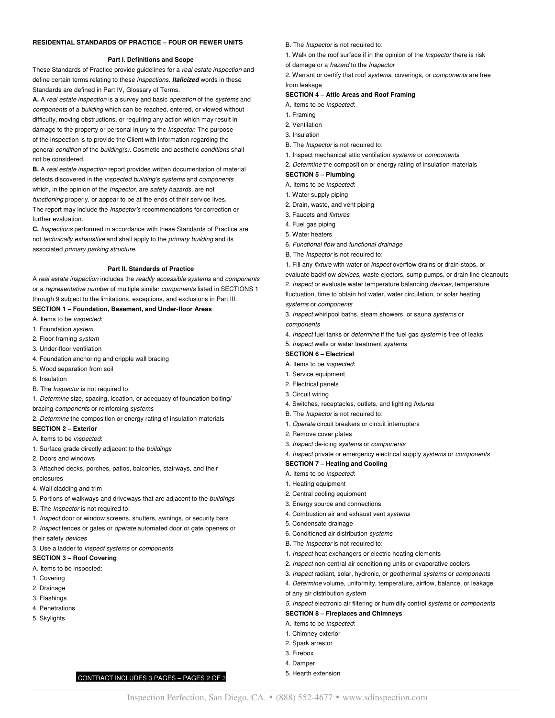#### **RESIDENTIAL STANDARDS OF PRACTICE – FOUR OR FEWER UNITS**

## **Part I. Definitions and Scope**

These Standards of Practice provide guidelines for a *real estate inspection* and define certain terms relating to these *inspections*. *Italicized* words in these Standards are defined in Part IV, Glossary of Terms.

**A.** A *real estate inspection* is a survey and basic *operation* of the *systems* and *components* of a *building* which can be reached, entered, or viewed without difficulty, moving obstructions, or requiring any action which may result in damage to the property or personal injury to the *Inspector*. The purpose of the inspection is to provide the Client with information regarding the general *condition* of the *building(s)*. Cosmetic and aesthetic *conditions* shall not be considered.

**B.** A *real estate inspection* report provides written documentation of material defects discovered in the *inspected building's systems* and *components* which, in the opinion of the *Inspector*, are *safety hazards*, are not *functioning* properly, or appear to be at the ends of their service lives. The report may include the *Inspector's* recommendations for correction or further evaluation.

**C.** *Inspections* performed in accordance with these Standards of Practice are not *technically exhaustive* and shall apply to the *primary building* and its associated *primary parking structure.*

### **Part II. Standards of Practice**

A *real estate inspection* includes the *readily accessible systems* and *components* or a *representative number* of multiple similar *components* listed in SECTIONS 1 through 9 subject to the limitations, exceptions, and exclusions in Part III.

## **SECTION 1 – Foundation, Basement, and Under-floor Areas**

A. Items to be *inspected*:

- 1. Foundation *system*
- 2. Floor framing *system*
- 3. Under-floor ventilation
- 4. Foundation anchoring and cripple wall bracing
- 5. Wood separation from soil
- 6. Insulation
- B. The *Inspector* is not required to:
- 1. *Determine* size, spacing, location, or adequacy of foundation bolting/ bracing *components* or reinforcing *systems*

2. *Determine* the composition or energy rating of insulation materials

## **SECTION 2 – Exterior**

- A. Items to be *inspected*:
- 1. Surface grade directly adjacent to the *buildings*
- 2. Doors and windows
- 3. Attached decks, porches, patios, balconies, stairways, and their

#### enclosures

- 4. Wall cladding and trim
- 5. Portions of walkways and driveways that are adjacent to the *buildings*
- B. The *Inspector* is not required to:
- 1. *Inspect* door or window screens, shutters, awnings, or security bars
- 2. *Inspect* fences or gates or *operate* automated door or gate openers or

CONTRACT INCLUDES 3 PAGES – PAGES 2 OF 3

- their safety *devices* 3. Use a ladder to *inspect systems* or *components*
- **SECTION 3 – Roof Covering**

- A. Items to be inspected:
- 1. Covering
- 2. Drainage
- 3. Flashings
- 4. Penetrations
- 5. Skylights

### B. The *Inspector* is not required to:

- 1. Walk on the roof surface if in the opinion of the *Inspector* there is risk
- of damage or a *hazard* to the *Inspector*
- 2. Warrant or certify that roof *systems*, coverings, or *components* are free from leakage

## **SECTION 4 – Attic Areas and Roof Framing**

- A. Items to be *inspected*:
- 1. Framing
- 2. Ventilation
- 3. Insulation
- B. The *Inspector* is not required to:
- 1. Inspect mechanical attic ventilation *systems* or *components*
- 2. *Determine* the composition or energy rating of insulation materials

## **SECTION 5 – Plumbing**

- A. Items to be *inspected*:
- 1. Water supply piping
- 2. Drain, waste, and vent piping
- 3. Faucets and *fixtures*
- 4. Fuel gas piping
- 5. Water heaters
- 6. *Functional flow* and *functional drainage*
- B. The *Inspector* is not required to:

1. Fill any *fixture* with water or *inspect* overflow drains or drain-stops, or

- evaluate backflow *devices*, waste ejectors, sump pumps, or drain line cleanouts
- 2. *Inspect* or evaluate water temperature balancing *devices*, temperature fluctuation, time to obtain hot water, water circulation, or solar heating

*systems* or *components*

3. *Inspect* whirlpool baths, steam showers, or sauna *systems* or *components*

- 
- 4. *Inspect* fuel tanks or *determine* if the fuel gas *system* is free of leaks
- 5. *Inspect* wells or water treatment *systems*

# **SECTION 6 – Electrical**

- A. Items to be *inspected*:
- 1. Service equipment
- 2. Electrical panels
- 3. Circuit wiring
- 4. Switches, receptacles, outlets, and lighting *fixtures*
- B. The *Inspector* is not required to:
- 1. *Operate* circuit breakers or circuit interrupters
- 2. Remove cover plates
- 3. *Inspect* de-icing *systems* or *components*
- 4. *Inspect* private or emergency electrical supply *systems* or *components*
- **SECTION 7 – Heating and Cooling**
- A. Items to be *inspected*:
- 1. Heating equipment
- 2. Central cooling equipment
- 3. Energy source and connections
- 4. Combustion air and exhaust vent *systems*
- 5. Condensate drainage
- 6. Conditioned air distribution *systems*
- B. The *Inspector* is not required to:
- 1. *Inspect* heat exchangers or electric heating elements
- 2. *Inspect* non-central air conditioning units or evaporative coolers
- 3. *Inspect* radiant, solar, hydronic, or geothermal *systems* or *components*
- 4. *Determine* volume, uniformity, temperature, airflow, balance, or leakage of any air distribution *system*
- 
- *5. Inspect* electronic air filtering or humidity control *systems* or *components* **SECTION 8 – Fireplaces and Chimneys**
- A. Items to be *inspected*:
- 1. Chimney exterior
- 2. Spark arrestor
- 3. Firebox
- 4. Damper

Inspection Perfection, San Diego, CA. • (888) 552-4677 • www.sdinspection.com

5. Hearth extension